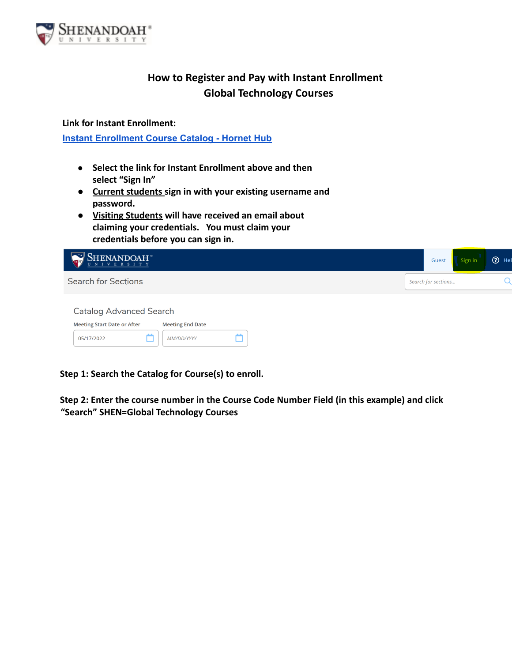

## **How to Register and Pay with Instant Enrollment Global Technology Courses**

**Link for Instant Enrollment:**

**Instant [Enrollment](https://colss-prod.ec.su.edu/Student/InstantEnrollment) Course Catalog - Hornet Hub**

- **● Select the link for Instant Enrollment above and then select "Sign In"**
- **● Current students sign in with your existing username and password.**
- **● Visiting Students will have received an email about claiming your credentials. You must claim your credentials before you can sign in.**

| $\text{SHENANDOAH}$                                                                             | Guest               | Sign in | ⊙ Hel |
|-------------------------------------------------------------------------------------------------|---------------------|---------|-------|
| <b>Search for Sections</b>                                                                      | Search for sections |         |       |
| <b>Catalog Advanced Search</b><br><b>Meeting Start Date or After</b><br><b>Meeting End Date</b> |                     |         |       |
| MM/DD/YYYY<br>05/17/2022                                                                        |                     |         |       |

**Step 1: Search the Catalog for Course(s) to enroll.**

**Step 2: Enter the course number in the Course Code Number Field (in this example) and click "Search" SHEN=Global Technology Courses**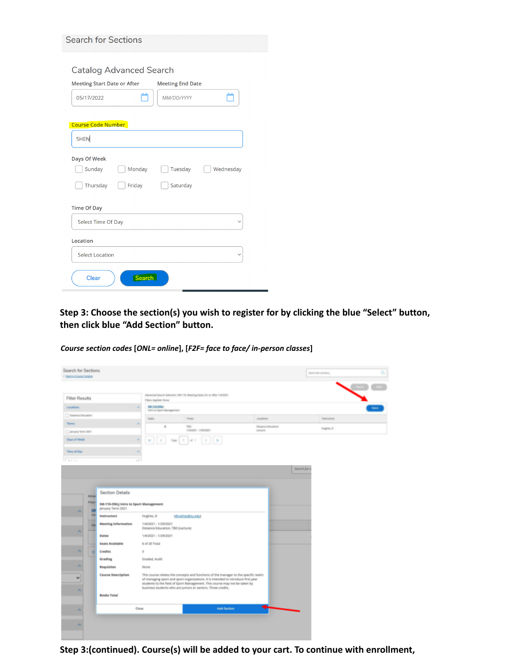|                                    | <b>Catalog Advanced Search</b> |                         |           |
|------------------------------------|--------------------------------|-------------------------|-----------|
| <b>Meeting Start Date or After</b> |                                | <b>Meeting End Date</b> |           |
| 05/17/2022                         |                                | MM/DD/YYYY              |           |
|                                    |                                |                         |           |
| <b>Course Code Number</b>          |                                |                         |           |
| <b>SHEN</b>                        |                                |                         |           |
| Days Of Week                       |                                |                         |           |
| Sunday                             | Monday                         | Tuesday                 | Wednesday |
|                                    |                                |                         |           |

| Select Time Of Day     | $\checkmark$ |
|------------------------|--------------|
| Location               |              |
| Select Location        | $\checkmark$ |
| <b>Search</b><br>Clear |              |

**Step 3: Choose the section(s) you wish to register for by clicking the blue "Select" button, then click blue "Add Section" button.**

*Course section codes* **[***ONL= online***], [***F2F= face to face/ in-person classes***]**

| Search for Sections<br>4 Bank to Course Catalog |                                                            |                                                           |                                                                                                                                                                                                                                                        |                    | Search for sections. | $\alpha$ |
|-------------------------------------------------|------------------------------------------------------------|-----------------------------------------------------------|--------------------------------------------------------------------------------------------------------------------------------------------------------------------------------------------------------------------------------------------------------|--------------------|----------------------|----------|
|                                                 |                                                            |                                                           |                                                                                                                                                                                                                                                        |                    |                      |          |
| Filter Results                                  |                                                            | <b>Tilters Applied Norm</b>                               | Advanced Search Selection: SM-113, Meeting Dates On or After 1/4/2021                                                                                                                                                                                  |                    |                      |          |
| Locations                                       |                                                            | SM 110-2/MJ<br>intro to Sport Munaperant                  |                                                                                                                                                                                                                                                        |                    |                      |          |
| Distance Discussors                             |                                                            | Seats                                                     | Times                                                                                                                                                                                                                                                  | imations:          | <b>Instructors</b>   |          |
| Tarres                                          |                                                            | ٠                                                         | TED.                                                                                                                                                                                                                                                   | Distance Education | Hughes, D.           |          |
| D procey form 2021                              |                                                            |                                                           | 1H2E1-10N207                                                                                                                                                                                                                                           | Listers            |                      |          |
| Days of Week                                    |                                                            | ×<br>$\chi$<br>Fage                                       | $-2$ $\%$<br>$\mathbb{R}$                                                                                                                                                                                                                              |                    |                      |          |
| Time of Day                                     |                                                            | ×                                                         |                                                                                                                                                                                                                                                        |                    |                      |          |
| <b>Contract</b>                                 |                                                            | o                                                         |                                                                                                                                                                                                                                                        |                    |                      |          |
|                                                 |                                                            |                                                           |                                                                                                                                                                                                                                                        | Search for s       |                      |          |
|                                                 |                                                            |                                                           |                                                                                                                                                                                                                                                        |                    |                      |          |
| Adva                                            | <b>Section Details</b>                                     |                                                           |                                                                                                                                                                                                                                                        |                    |                      |          |
| Filter<br>я                                     | SM-110-ONLJ Intro to Sport Management<br>January Term 2021 |                                                           |                                                                                                                                                                                                                                                        |                    |                      |          |
| Int                                             | Instructors                                                | Hughes, D.                                                | (dhuches@su.edu)                                                                                                                                                                                                                                       |                    |                      |          |
| Sa                                              | <b>Meeting Information</b>                                 | 1/4/2021 - 1/29/2021<br>Distance Education, TBD (Lecture) |                                                                                                                                                                                                                                                        |                    |                      |          |
| ×                                               | Dates                                                      | 1/4/2021 - 1/29/2021                                      |                                                                                                                                                                                                                                                        |                    |                      |          |
|                                                 | Seats Available                                            | 6 of 20 Total                                             |                                                                                                                                                                                                                                                        |                    |                      |          |
| ۸<br>×                                          | Credits                                                    | 3                                                         |                                                                                                                                                                                                                                                        |                    |                      |          |
|                                                 | Grading                                                    | Graded, Audit                                             |                                                                                                                                                                                                                                                        |                    |                      |          |
| ۸                                               | Requisites                                                 | None                                                      |                                                                                                                                                                                                                                                        |                    |                      |          |
| $\checkmark$                                    | <b>Course Description</b>                                  |                                                           | This course relates the concepts and functions of the manager to the specific realm<br>of managing sport and sport organizations. It is intended to introduce first year<br>students to the field of Sport Management. This course may not be taken by |                    |                      |          |
| ×                                               | <b>Books Total</b>                                         |                                                           | business students who are juniors or seniors. Three credits.                                                                                                                                                                                           |                    |                      |          |
| ×                                               |                                                            | Close                                                     | <b>Add Section</b>                                                                                                                                                                                                                                     |                    |                      |          |
|                                                 |                                                            |                                                           |                                                                                                                                                                                                                                                        |                    |                      |          |
| ×                                               |                                                            |                                                           |                                                                                                                                                                                                                                                        |                    |                      |          |
|                                                 |                                                            |                                                           |                                                                                                                                                                                                                                                        |                    |                      |          |

**Step 3:(continued). Course(s) will be added to your cart. To continue with enrollment,**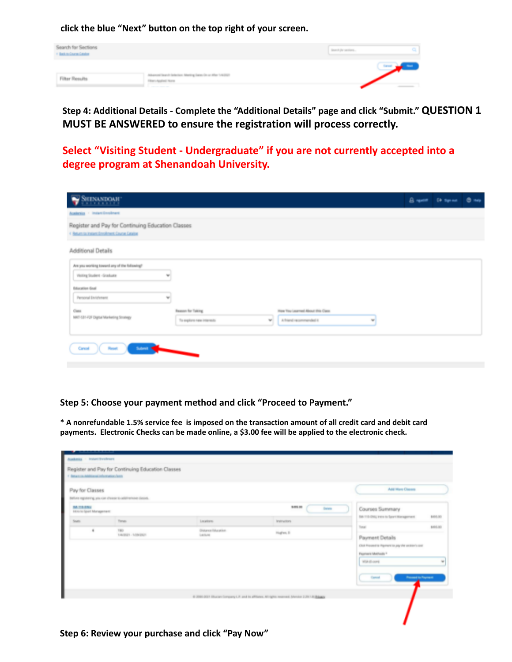**click the blue "Next" button on the top right of your screen.**



**Step 4: Additional Details - Complete the "Additional Details" page and click "Submit." QUESTION 1 MUST BE ANSWERED to ensure the registration will process correctly.**

**Select "Visiting Student - Undergraduate" if you are not currently accepted into a degree program at Shenandoah University.**

| SHENANDOAH                                                                                                                                                                         | Brewer Chispiece @ telp |  |
|------------------------------------------------------------------------------------------------------------------------------------------------------------------------------------|-------------------------|--|
| <b>Academics</b> - Instant Enrolmant                                                                                                                                               |                         |  |
| Register and Pay for Continuing Education Classes<br>4 Beturn in Jestert Enrolment Counse Cetatoe                                                                                  |                         |  |
| Additional Details                                                                                                                                                                 |                         |  |
| Are you working toward any of the following?<br>Visiting Student - Graduate<br>w<br><b>Education Goal</b><br>Personal Enrichment<br>w                                              |                         |  |
| Ciesa<br><b>Reason for Taking</b><br>How You Learned About this Class<br>MKT-S31-F2F Digital Marketing Strategy<br>w.<br>A friend recommended it.<br>To explore new interests<br>w |                         |  |
| <b>State Street</b><br>Cancel<br><b>Planaut</b>                                                                                                                                    |                         |  |

**Step 5: Choose your payment method and click "Proceed to Payment."**

\* A nonrefundable 1.5% service fee is imposed on the transaction amount of all credit card and debit card **payments. Electronic Checks can be made online, a \$3.00 fee will be applied to the electronic check.**

| Audenius - Innerchrechters                              |                                                              |                                      |                                                                                                     |                                                                         |
|---------------------------------------------------------|--------------------------------------------------------------|--------------------------------------|-----------------------------------------------------------------------------------------------------|-------------------------------------------------------------------------|
|                                                         | Register and Pay for Continuing Education Classes            |                                      |                                                                                                     |                                                                         |
| Chinaman Additional Information hero-                   |                                                              |                                      |                                                                                                     |                                                                         |
| Pay for Classes                                         |                                                              |                                      |                                                                                                     | Add Mare Classes                                                        |
|                                                         | Before registering provider choose to additivenesse classes. |                                      |                                                                                                     |                                                                         |
| <b>WAITERRIE</b><br>International President of critical |                                                              |                                      | \$495.00<br><b>Delate</b>                                                                           | Courses Summary                                                         |
| South                                                   | Times                                                        | Locations                            | <b>Instructors</b>                                                                                  | SM-T13-ONL; intro to Sport Management<br>\$105.00                       |
|                                                         | TED.<br>TANZAZZI - TVDW2007                                  | <b>Distance Education</b><br>Lecture | Hagles, D.                                                                                          | Tonat<br>\$105,000                                                      |
|                                                         |                                                              |                                      |                                                                                                     | Payment Details                                                         |
|                                                         |                                                              |                                      |                                                                                                     | Click Processing Asyment to pay the section's cost<br>Payment Methods * |
|                                                         |                                                              |                                      |                                                                                                     | W3A (5 com)<br>$\frac{1}{2}$                                            |
|                                                         |                                                              |                                      |                                                                                                     |                                                                         |
|                                                         |                                                              |                                      |                                                                                                     | Precede to Payment<br>General                                           |
|                                                         |                                                              |                                      |                                                                                                     |                                                                         |
|                                                         |                                                              |                                      | 41 2000 2021 Ellucan Company L.P. and its affiliates. All rights reserved. Shordon 2 29.1 At Blausa |                                                                         |
|                                                         |                                                              |                                      |                                                                                                     |                                                                         |
|                                                         |                                                              |                                      |                                                                                                     |                                                                         |
|                                                         |                                                              |                                      |                                                                                                     |                                                                         |

**Step 6: Review your purchase and click "Pay Now"**